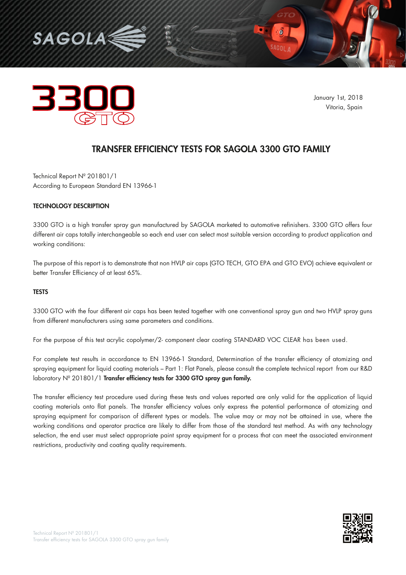



January 1st, 2018 Vitoria, Spain

 $\cdot$  0

# TRANSFER EFFICIENCY TESTS FOR SAGOLA 3300 GTO FAMILY

Technical Report Nº 201801/1 According to European Standard EN 13966-1

## TECHNOLOGY DESCRIPTION

3300 GTO is a high transfer spray gun manufactured by SAGOLA marketed to automotive refinishers. 3300 GTO offers four different air caps totally interchangeable so each end user can select most suitable version according to product application and working conditions:

The purpose of this report is to demonstrate that non HVLP air caps (GTO TECH, GTO EPA and GTO EVO) achieve equivalent or better Transfer Efficiency of at least 65%.

#### **TESTS**

3300 GTO with the four different air caps has been tested together with one conventional spray gun and two HVLP spray guns from different manufacturers using same parameters and conditions.

For the purpose of this test acrylic copolymer/2- component clear coating STANDARD VOC CLEAR has been used.

For complete test results in accordance to EN 13966-1 Standard, Determination of the transfer efficiency of atomizing and spraying equipment for liquid coating materials – Part 1: Flat Panels, please consult the complete technical report from our R&D laboratory Nº 201801/1 Transfer efficiency tests for 3300 GTO spray gun family.

The transfer efficiency test procedure used during these tests and values reported are only valid for the application of liquid coating materials onto flat panels. The transfer efficiency values only express the potential performance of atomizing and spraying equipment for comparison of different types or models. The value may or may not be attained in use, where the working conditions and operator practice are likely to differ from those of the standard test method. As with any technology selection, the end user must select appropriate paint spray equipment for a process that can meet the associated environment restrictions, productivity and coating quality requirements.